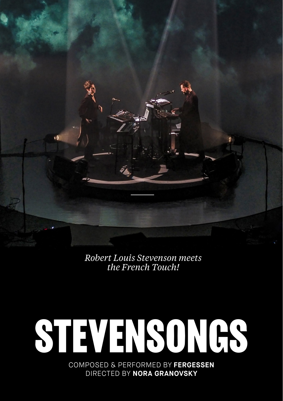*Robert Louis Stevenson meets the French Touch!*

# **STEVENSONGS**

COMPOSED & PERFORMED BY **FERGESSEN** DIRECTED BY **NORA GRANOVSKY**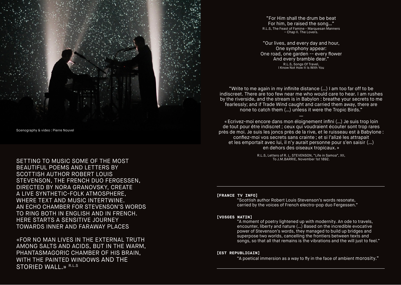

Scenography & video : Pierre Nouvel

SETTING TO MUSIC SOME OF THE MOST BEAUTIFUL POEMS AND LETTERS BY SCOTTISH AUTHOR ROBERT LOUIS STEVENSON, THE FRENCH DUO FERGESSEN, DIRECTED BY NORA GRANOVSKY, CREATE A LIVE SYNTHETIC-FOLK ATMOSPHERE, WHERE TEXT AND MUSIC INTERTWINE. AN ECHO CHAMBER FOR STEVENSON'S WORDS TO RING BOTH IN ENGLISH AND IN FRENCH. HERE STARTS A SENSITIVE JOURNEY TOWARDS INNER AND FARAWAY PLACES

«FOR NO MAN LIVES IN THE EXTERNAL TRUTH AMONG SALTS AND ACIDS, BUT IN THE WARM, PHANTASMAGORIC CHAMBER OF HIS BRAIN, WITH THE PAINTED WINDOWS AND THE STORIED WALL.» R.L.S

"For Him shall the drum be beat For him, be raised the song…" R.L.S, The Feast of Famine - Marquesan Manners – Chap II. The Lovers.

"Our lives, and every day and hour, One symphony appear: One road, one garden -- every flower And every bramble dear." R.L.S, Songs Of Travel, I Know Not How It Is With You

"Write to me again in my infinite distance (…) I am too far off to be indiscreet. There are too few near me who would care to hear. I am rushes by the riverside, and the stream is in Babylon : breathe your secrets to me fearlessly; and if Trade Wind caught and carried them away, there are none to catch them (…) unless it were the Tropic Birds."

— «Ecrivez-moi encore dans mon éloignement infini (…) Je suis trop loin de tout pour être indiscret ; ceux qui voudraient écouter sont trop rares près de moi. Je suis les joncs près de la rive, et le ruisseau est à Babylone : confiez-moi vos secrets sans crainte ; et si l'alizé les attrapait et les emportait avec lui, il n'y aurait personne pour s'en saisir (…) en dehors des oiseaux tropicaux.»

R.L.S, Letters of R. L. STEVENSON, "Life in Samoa", XII, To J.M.BARRIE, November 1st 1892.

#### **[FRANCE TV INFO]**

"Scottish author Robert Louis Stevenson's words resonate, carried by the voices of French electro-pop duo Fergessen."

#### **[VOSGES MATIN]**

"A moment of poetry lightened up with modernity. An ode to travels, encounter, liberty and nature (…) Based on the incredible evocative power of Stevenson's words, they managed to build up bridges and superpose two worlds, cancelling the frontiers between texts and songs, so that all that remains is the vibrations and the will just to feel."

#### **[EST REPUBLICAIN]**

"A poetical immersion as a way to fly in the face of ambient morosity."